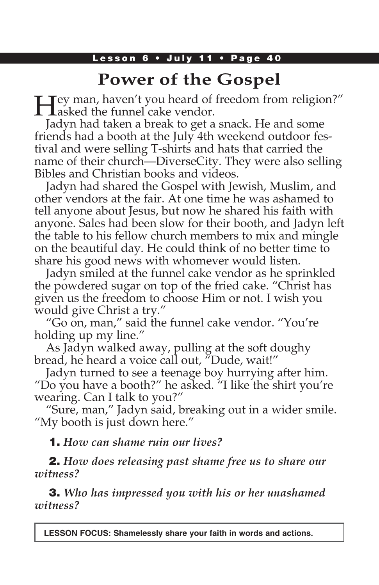# **Power of the Gospel**

Hey man, haven't you heard of freedom from religion?" asked the funnel cake vendor.

Jadyn had taken a break to get a snack. He and some friends had a booth at the July 4th weekend outdoor festival and were selling T-shirts and hats that carried the name of their church—DiverseCity. They were also selling Bibles and Christian books and videos.

Jadyn had shared the Gospel with Jewish, Muslim, and other vendors at the fair. At one time he was ashamed to tell anyone about Jesus, but now he shared his faith with anyone. Sales had been slow for their booth, and Jadyn left the table to his fellow church members to mix and mingle on the beautiful day. He could think of no better time to share his good news with whomever would listen.

Jadyn smiled at the funnel cake vendor as he sprinkled the powdered sugar on top of the fried cake. "Christ has given us the freedom to choose Him or not. I wish you would give Christ a try."

"Go on, man," said the funnel cake vendor. "You're holding up my line."

As Jadyn walked away, pulling at the soft doughy bread, he heard a voice call out, "Dude, wait!"

Jadyn turned to see a teenage boy hurrying after him. "Do you have a booth?" he asked. "I like the shirt you're wearing. Can I talk to you?"

"Sure, man," Jadyn said, breaking out in a wider smile. "My booth is just down here."

1. *How can shame ruin our lives?*

2. *How does releasing past shame free us to share our witness?*

3. *Who has impressed you with his or her unashamed witness?*

**LESSON FOCUS: Shamelessly share your faith in words and actions.**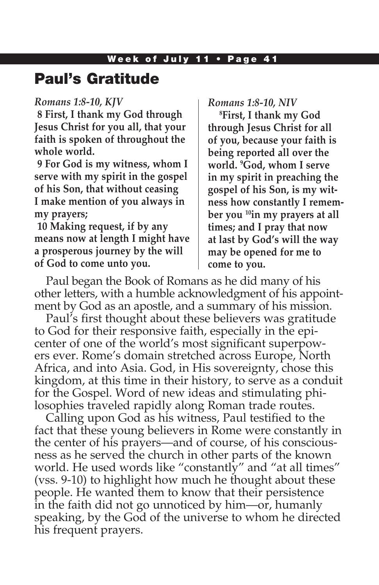### Paul's Gratitude

#### *Romans 1:8-10, KJV*

**8 First, I thank my God through Jesus Christ for you all, that your faith is spoken of throughout the whole world.**

**9 For God is my witness, whom I serve with my spirit in the gospel of his Son, that without ceasing I make mention of you always in my prayers;**

**10 Making request, if by any means now at length I might have a prosperous journey by the will of God to come unto you.**

*Romans 1:8-10, NIV*

**8 First, I thank my God through Jesus Christ for all of you, because your faith is being reported all over the world. 9 God, whom I serve in my spirit in preaching the gospel of his Son, is my witness how constantly I remember you 10in my prayers at all times; and I pray that now at last by God's will the way may be opened for me to come to you.**

Paul began the Book of Romans as he did many of his other letters, with a humble acknowledgment of his appointment by God as an apostle, and a summary of his mission.

Paul's first thought about these believers was gratitude to God for their responsive faith, especially in the epicenter of one of the world's most significant superpowers ever. Rome's domain stretched across Europe, North Africa, and into Asia. God, in His sovereignty, chose this kingdom, at this time in their history, to serve as a conduit for the Gospel. Word of new ideas and stimulating philosophies traveled rapidly along Roman trade routes.

Calling upon God as his witness, Paul testified to the fact that these young believers in Rome were constantly in the center of his prayers—and of course, of his consciousness as he served the church in other parts of the known world. He used words like "constantly" and "at all times" (vss. 9-10) to highlight how much he thought about these people. He wanted them to know that their persistence in the faith did not go unnoticed by him—or, humanly speaking, by the God of the universe to whom he directed his frequent prayers.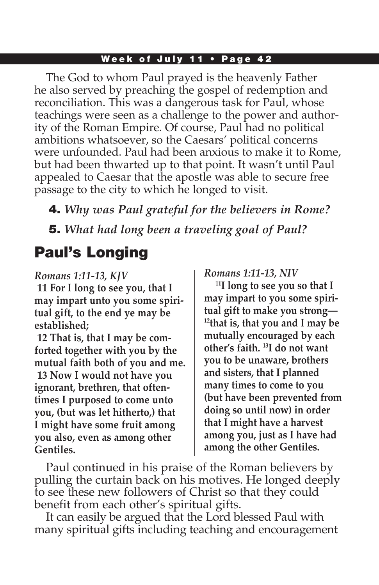#### Week of July 11 • Page 42

The God to whom Paul prayed is the heavenly Father he also served by preaching the gospel of redemption and reconciliation. This was a dangerous task for Paul, whose teachings were seen as a challenge to the power and authority of the Roman Empire. Of course, Paul had no political ambitions whatsoever, so the Caesars' political concerns were unfounded. Paul had been anxious to make it to Rome, but had been thwarted up to that point. It wasn't until Paul appealed to Caesar that the apostle was able to secure free passage to the city to which he longed to visit.

4. *Why was Paul grateful for the believers in Rome?* 

# 5. *What had long been a traveling goal of Paul?*

## Paul's Longing

### *Romans 1:11-13, KJV*

**11 For I long to see you, that I may impart unto you some spiritual gift, to the end ye may be established;**

**12 That is, that I may be comforted together with you by the mutual faith both of you and me. 13 Now I would not have you ignorant, brethren, that oftentimes I purposed to come unto you, (but was let hitherto,) that I might have some fruit among you also, even as among other Gentiles.**

#### *Romans 1:11-13, NIV*

**11I long to see you so that I may impart to you some spiritual gift to make you strong— 12that is, that you and I may be mutually encouraged by each other's faith. 13I do not want you to be unaware, brothers and sisters, that I planned many times to come to you (but have been prevented from doing so until now) in order that I might have a harvest among you, just as I have had among the other Gentiles.**

Paul continued in his praise of the Roman believers by pulling the curtain back on his motives. He longed deeply to see these new followers of Christ so that they could benefit from each other's spiritual gifts.

It can easily be argued that the Lord blessed Paul with many spiritual gifts including teaching and encouragement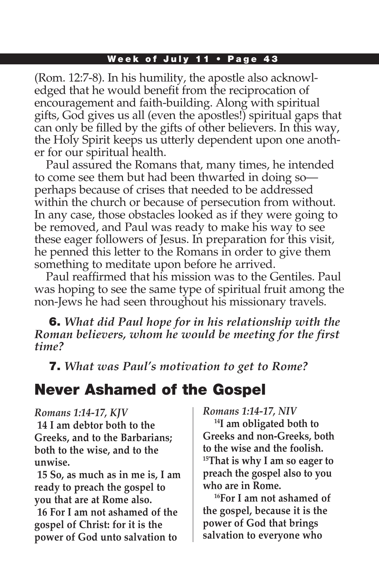#### Week of July 11 . Page 43

(Rom. 12:7-8). In his humility, the apostle also acknowledged that he would benefit from the reciprocation of encouragement and faith-building. Along with spiritual gifts, God gives us all (even the apostles!) spiritual gaps that can only be filled by the gifts of other believers. In this way, the Holy Spirit keeps us utterly dependent upon one another for our spiritual health.

Paul assured the Romans that, many times, he intended to come see them but had been thwarted in doing so perhaps because of crises that needed to be addressed within the church or because of persecution from without. In any case, those obstacles looked as if they were going to be removed, and Paul was ready to make his way to see these eager followers of Jesus. In preparation for this visit, he penned this letter to the Romans in order to give them something to meditate upon before he arrived.

Paul reaffirmed that his mission was to the Gentiles. Paul was hoping to see the same type of spiritual fruit among the non-Jews he had seen throughout his missionary travels.

6. *What did Paul hope for in his relationship with the Roman believers, whom he would be meeting for the first time?*

7. *What was Paul's motivation to get to Rome?* 

# Never Ashamed of the Gospel

*Romans 1:14-17, KJV*  **14 I am debtor both to the Greeks, and to the Barbarians; both to the wise, and to the unwise.**

**15 So, as much as in me is, I am ready to preach the gospel to you that are at Rome also. 16 For I am not ashamed of the gospel of Christ: for it is the power of God unto salvation to** 

*Romans 1:14-17, NIV*

**14I am obligated both to Greeks and non-Greeks, both to the wise and the foolish. 15That is why I am so eager to preach the gospel also to you who are in Rome.**

**16For I am not ashamed of the gospel, because it is the power of God that brings salvation to everyone who**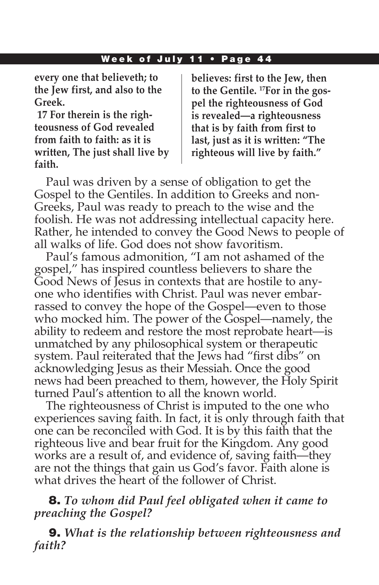#### Week of July 11 • Page 44

**every one that believeth; to the Jew first, and also to the Greek.**

**17 For therein is the righteousness of God revealed from faith to faith: as it is written, The just shall live by faith.**

**believes: first to the Jew, then to the Gentile. 17For in the gospel the righteousness of God is revealed—a righteousness that is by faith from first to last, just as it is written: "The righteous will live by faith."**

Paul was driven by a sense of obligation to get the Gospel to the Gentiles. In addition to Greeks and non-Greeks, Paul was ready to preach to the wise and the foolish. He was not addressing intellectual capacity here. Rather, he intended to convey the Good News to people of all walks of life. God does not show favoritism.

Paul's famous admonition, "I am not ashamed of the gospel," has inspired countless believers to share the Good News of Jesus in contexts that are hostile to anyone who identifies with Christ. Paul was never embarrassed to convey the hope of the Gospel—even to those who mocked him. The power of the Gospel—namely, the ability to redeem and restore the most reprobate heart—is unmatched by any philosophical system or therapeutic system. Paul reiterated that the Jews had "first dibs" on acknowledging Jesus as their Messiah. Once the good news had been preached to them, however, the Holy Spirit turned Paul's attention to all the known world.

The righteousness of Christ is imputed to the one who experiences saving faith. In fact, it is only through faith that one can be reconciled with God. It is by this faith that the righteous live and bear fruit for the Kingdom. Any good works are a result of, and evidence of, saving faith—they are not the things that gain us God's favor. Faith alone is what drives the heart of the follower of Christ.

### 8. *To whom did Paul feel obligated when it came to preaching the Gospel?*

9. *What is the relationship between righteousness and faith?*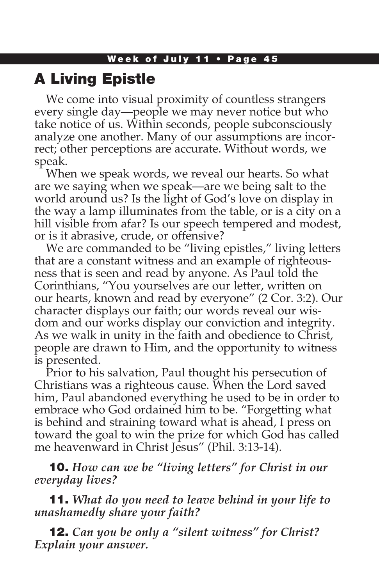## A Living Epistle

We come into visual proximity of countless strangers every single day—people we may never notice but who take notice of us. Within seconds, people subconsciously analyze one another. Many of our assumptions are incorrect; other perceptions are accurate. Without words, we speak.

When we speak words, we reveal our hearts. So what are we saying when we speak—are we being salt to the world around us? Is the light of God's love on display in the way a lamp illuminates from the table, or is a city on a hill visible from afar? Is our speech tempered and modest, or is it abrasive, crude, or offensive?

We are commanded to be "living epistles," living letters that are a constant witness and an example of righteousness that is seen and read by anyone. As Paul told the Corinthians, "You yourselves are our letter, written on our hearts, known and read by everyone" (2 Cor. 3:2). Our character displays our faith; our words reveal our wisdom and our works display our conviction and integrity. As we walk in unity in the faith and obedience to Christ, people are drawn to Him, and the opportunity to witness is presented.

Prior to his salvation, Paul thought his persecution of Christians was a righteous cause. When the Lord saved him, Paul abandoned everything he used to be in order to embrace who God ordained him to be. "Forgetting what is behind and straining toward what is ahead, I press on toward the goal to win the prize for which God has called me heavenward in Christ Jesus" (Phil. 3:13-14).

10. *How can we be "living letters" for Christ in our everyday lives?*

11. *What do you need to leave behind in your life to unashamedly share your faith?* 

12. *Can you be only a "silent witness" for Christ? Explain your answer.*